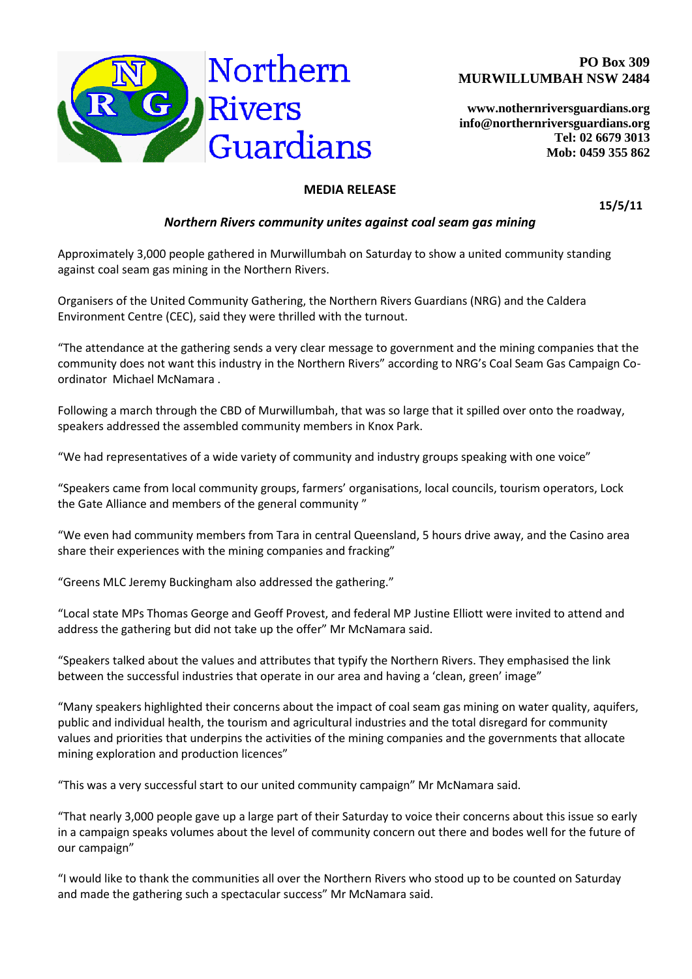



**[www.nothernriversguardians.org](http://www.nothernriversguardians.org/) info@northernriversguardians.org Tel: 02 6679 3013 Mob: 0459 355 862**

## **MEDIA RELEASE**

**15/5/11**

## *Northern Rivers community unites against coal seam gas mining*

Approximately 3,000 people gathered in Murwillumbah on Saturday to show a united community standing against coal seam gas mining in the Northern Rivers.

Organisers of the United Community Gathering, the Northern Rivers Guardians (NRG) and the Caldera Environment Centre (CEC), said they were thrilled with the turnout.

"The attendance at the gathering sends a very clear message to government and the mining companies that the community does not want this industry in the Northern Rivers" according to NRG's Coal Seam Gas Campaign Coordinator Michael McNamara .

Following a march through the CBD of Murwillumbah, that was so large that it spilled over onto the roadway, speakers addressed the assembled community members in Knox Park.

"We had representatives of a wide variety of community and industry groups speaking with one voice"

"Speakers came from local community groups, farmers' organisations, local councils, tourism operators, Lock the Gate Alliance and members of the general community "

"We even had community members from Tara in central Queensland, 5 hours drive away, and the Casino area share their experiences with the mining companies and fracking"

"Greens MLC Jeremy Buckingham also addressed the gathering."

"Local state MPs Thomas George and Geoff Provest, and federal MP Justine Elliott were invited to attend and address the gathering but did not take up the offer" Mr McNamara said.

"Speakers talked about the values and attributes that typify the Northern Rivers. They emphasised the link between the successful industries that operate in our area and having a 'clean, green' image"

"Many speakers highlighted their concerns about the impact of coal seam gas mining on water quality, aquifers, public and individual health, the tourism and agricultural industries and the total disregard for community values and priorities that underpins the activities of the mining companies and the governments that allocate mining exploration and production licences"

"This was a very successful start to our united community campaign" Mr McNamara said.

"That nearly 3,000 people gave up a large part of their Saturday to voice their concerns about this issue so early in a campaign speaks volumes about the level of community concern out there and bodes well for the future of our campaign"

"I would like to thank the communities all over the Northern Rivers who stood up to be counted on Saturday and made the gathering such a spectacular success" Mr McNamara said.